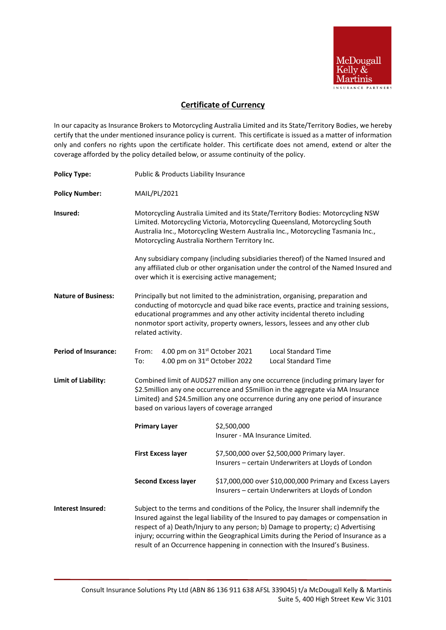

## **Certificate of Currency**

In our capacity as Insurance Brokers to Motorcycling Australia Limited and its State/Territory Bodies, we hereby certify that the under mentioned insurance policy is current. This certificate is issued as a matter of information only and confers no rights upon the certificate holder. This certificate does not amend, extend or alter the coverage afforded by the policy detailed below, or assume continuity of the policy.

| <b>Policy Type:</b>         | Public & Products Liability Insurance                                                                                                                                                                                                                                                                                                                                                                                                 |                                                                                                                 |
|-----------------------------|---------------------------------------------------------------------------------------------------------------------------------------------------------------------------------------------------------------------------------------------------------------------------------------------------------------------------------------------------------------------------------------------------------------------------------------|-----------------------------------------------------------------------------------------------------------------|
| <b>Policy Number:</b>       | MAIL/PL/2021                                                                                                                                                                                                                                                                                                                                                                                                                          |                                                                                                                 |
| Insured:                    | Motorcycling Australia Limited and its State/Territory Bodies: Motorcycling NSW<br>Limited. Motorcycling Victoria, Motorcycling Queensland, Motorcycling South<br>Australia Inc., Motorcycling Western Australia Inc., Motorcycling Tasmania Inc.,<br>Motorcycling Australia Northern Territory Inc.                                                                                                                                  |                                                                                                                 |
|                             | Any subsidiary company (including subsidiaries thereof) of the Named Insured and<br>any affiliated club or other organisation under the control of the Named Insured and<br>over which it is exercising active management;                                                                                                                                                                                                            |                                                                                                                 |
| <b>Nature of Business:</b>  | Principally but not limited to the administration, organising, preparation and<br>conducting of motorcycle and quad bike race events, practice and training sessions,<br>educational programmes and any other activity incidental thereto including<br>nonmotor sport activity, property owners, lessors, lessees and any other club<br>related activity.                                                                             |                                                                                                                 |
| <b>Period of Insurance:</b> | 4.00 pm on 31st October 2021<br>From:<br>4.00 pm on 31st October 2022<br>To:                                                                                                                                                                                                                                                                                                                                                          | <b>Local Standard Time</b><br><b>Local Standard Time</b>                                                        |
| Limit of Liability:         | Combined limit of AUD\$27 million any one occurrence (including primary layer for<br>\$2.5million any one occurrence and \$5million in the aggregate via MA Insurance<br>Limited) and \$24.5 million any one occurrence during any one period of insurance<br>based on various layers of coverage arranged                                                                                                                            |                                                                                                                 |
|                             | <b>Primary Layer</b>                                                                                                                                                                                                                                                                                                                                                                                                                  | \$2,500,000<br>Insurer - MA Insurance Limited.                                                                  |
|                             | <b>First Excess layer</b>                                                                                                                                                                                                                                                                                                                                                                                                             | \$7,500,000 over \$2,500,000 Primary layer.<br>Insurers - certain Underwriters at Lloyds of London              |
|                             | <b>Second Excess layer</b>                                                                                                                                                                                                                                                                                                                                                                                                            | \$17,000,000 over \$10,000,000 Primary and Excess Layers<br>Insurers - certain Underwriters at Lloyds of London |
| <b>Interest Insured:</b>    | Subject to the terms and conditions of the Policy, the Insurer shall indemnify the<br>Insured against the legal liability of the Insured to pay damages or compensation in<br>respect of a) Death/Injury to any person; b) Damage to property; c) Advertising<br>injury; occurring within the Geographical Limits during the Period of Insurance as a<br>result of an Occurrence happening in connection with the Insured's Business. |                                                                                                                 |